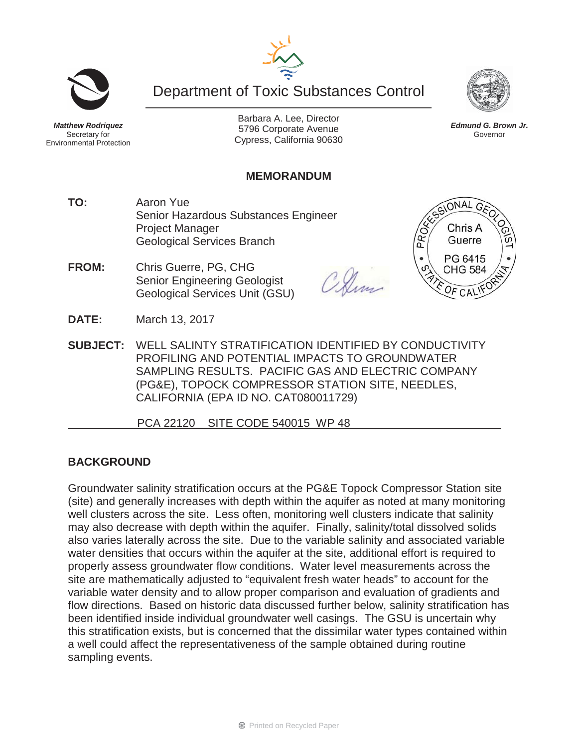



ONAL GA

Chris A

*Edmund G. Brown Jr.* Governor

*Matthew Rodriquez* Secretary for Environmental Protection

Barbara A. Lee, Director 5796 Corporate Avenue Cypress, California 90630

# **MEMORANDUM**

- **TO:** Aaron Yue Senior Hazardous Substances Engineer Project Manager Geological Services Branch
- **FROM:** Chris Guerre, PG, CHG Senior Engineering Geologist Geological Services Unit (GSU)



- **DATE:** March 13, 2017
- **SUBJECT:** WELL SALINTY STRATIFICATION IDENTIFIED BY CONDUCTIVITY PROFILING AND POTENTIAL IMPACTS TO GROUNDWATER SAMPLING RESULTS. PACIFIC GAS AND ELECTRIC COMPANY (PG&E), TOPOCK COMPRESSOR STATION SITE, NEEDLES, CALIFORNIA (EPA ID NO. CAT080011729)

PCA 22120 SITE CODE 540015 WP 48

## **BACKGROUND**

Groundwater salinity stratification occurs at the PG&E Topock Compressor Station site (site) and generally increases with depth within the aquifer as noted at many monitoring well clusters across the site. Less often, monitoring well clusters indicate that salinity may also decrease with depth within the aquifer. Finally, salinity/total dissolved solids also varies laterally across the site. Due to the variable salinity and associated variable water densities that occurs within the aquifer at the site, additional effort is required to properly assess groundwater flow conditions. Water level measurements across the site are mathematically adjusted to "equivalent fresh water heads" to account for the variable water density and to allow proper comparison and evaluation of gradients and flow directions. Based on historic data discussed further below, salinity stratification has been identified inside individual groundwater well casings. The GSU is uncertain why this stratification exists, but is concerned that the dissimilar water types contained within a well could affect the representativeness of the sample obtained during routine sampling events.

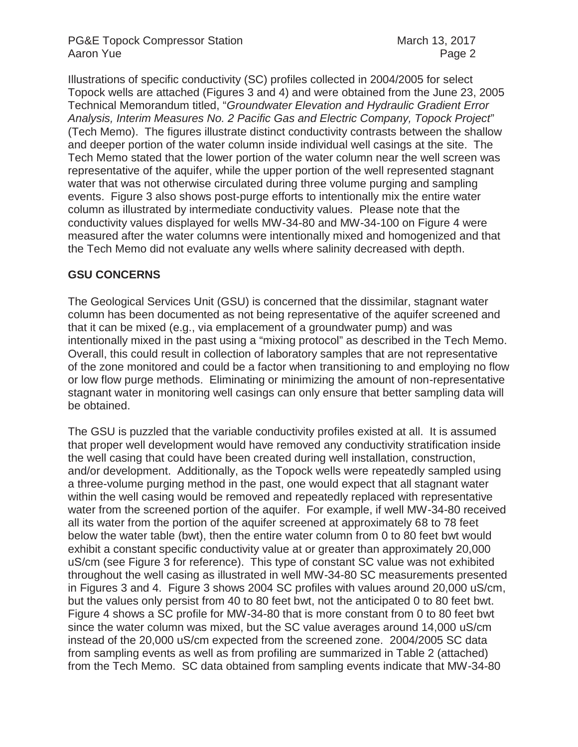### PG&E Topock Compressor Station March 13, 2017 Aaron Yue **Page 2**

Illustrations of specific conductivity (SC) profiles collected in 2004/2005 for select Topock wells are attached (Figures 3 and 4) and were obtained from the June 23, 2005 Technical Memorandum titled, "*Groundwater Elevation and Hydraulic Gradient Error Analysis, Interim Measures No. 2 Pacific Gas and Electric Company, Topock Project*" (Tech Memo). The figures illustrate distinct conductivity contrasts between the shallow and deeper portion of the water column inside individual well casings at the site. The Tech Memo stated that the lower portion of the water column near the well screen was representative of the aquifer, while the upper portion of the well represented stagnant water that was not otherwise circulated during three volume purging and sampling events. Figure 3 also shows post-purge efforts to intentionally mix the entire water column as illustrated by intermediate conductivity values. Please note that the conductivity values displayed for wells MW-34-80 and MW-34-100 on Figure 4 were measured after the water columns were intentionally mixed and homogenized and that the Tech Memo did not evaluate any wells where salinity decreased with depth.

### **GSU CONCERNS**

The Geological Services Unit (GSU) is concerned that the dissimilar, stagnant water column has been documented as not being representative of the aquifer screened and that it can be mixed (e.g., via emplacement of a groundwater pump) and was intentionally mixed in the past using a "mixing protocol" as described in the Tech Memo. Overall, this could result in collection of laboratory samples that are not representative of the zone monitored and could be a factor when transitioning to and employing no flow or low flow purge methods. Eliminating or minimizing the amount of non-representative stagnant water in monitoring well casings can only ensure that better sampling data will be obtained.

The GSU is puzzled that the variable conductivity profiles existed at all. It is assumed that proper well development would have removed any conductivity stratification inside the well casing that could have been created during well installation, construction, and/or development. Additionally, as the Topock wells were repeatedly sampled using a three-volume purging method in the past, one would expect that all stagnant water within the well casing would be removed and repeatedly replaced with representative water from the screened portion of the aquifer. For example, if well MW-34-80 received all its water from the portion of the aquifer screened at approximately 68 to 78 feet below the water table (bwt), then the entire water column from 0 to 80 feet bwt would exhibit a constant specific conductivity value at or greater than approximately 20,000 uS/cm (see Figure 3 for reference). This type of constant SC value was not exhibited throughout the well casing as illustrated in well MW-34-80 SC measurements presented in Figures 3 and 4. Figure 3 shows 2004 SC profiles with values around 20,000 uS/cm, but the values only persist from 40 to 80 feet bwt, not the anticipated 0 to 80 feet bwt. Figure 4 shows a SC profile for MW-34-80 that is more constant from 0 to 80 feet bwt since the water column was mixed, but the SC value averages around 14,000 uS/cm instead of the 20,000 uS/cm expected from the screened zone. 2004/2005 SC data from sampling events as well as from profiling are summarized in Table 2 (attached) from the Tech Memo. SC data obtained from sampling events indicate that MW-34-80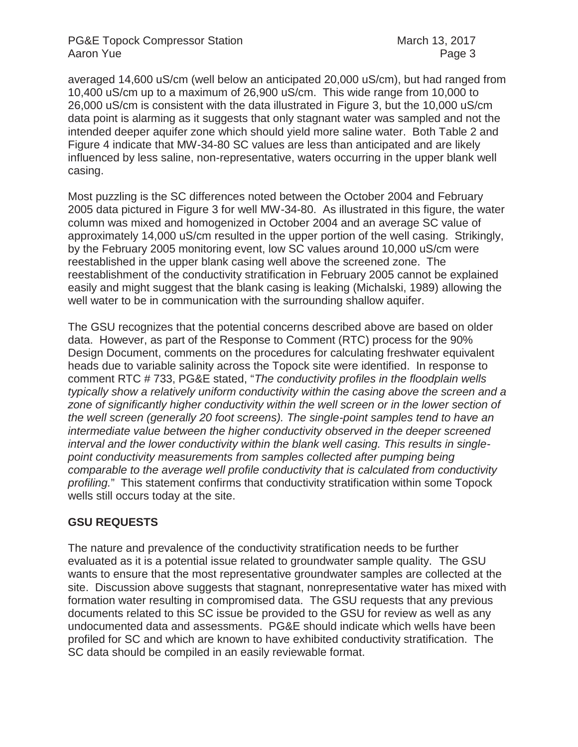averaged 14,600 uS/cm (well below an anticipated 20,000 uS/cm), but had ranged from 10,400 uS/cm up to a maximum of 26,900 uS/cm. This wide range from 10,000 to 26,000 uS/cm is consistent with the data illustrated in Figure 3, but the 10,000 uS/cm data point is alarming as it suggests that only stagnant water was sampled and not the intended deeper aquifer zone which should yield more saline water. Both Table 2 and Figure 4 indicate that MW-34-80 SC values are less than anticipated and are likely influenced by less saline, non-representative, waters occurring in the upper blank well casing.

Most puzzling is the SC differences noted between the October 2004 and February 2005 data pictured in Figure 3 for well MW-34-80. As illustrated in this figure, the water column was mixed and homogenized in October 2004 and an average SC value of approximately 14,000 uS/cm resulted in the upper portion of the well casing. Strikingly, by the February 2005 monitoring event, low SC values around 10,000 uS/cm were reestablished in the upper blank casing well above the screened zone. The reestablishment of the conductivity stratification in February 2005 cannot be explained easily and might suggest that the blank casing is leaking (Michalski, 1989) allowing the well water to be in communication with the surrounding shallow aquifer.

The GSU recognizes that the potential concerns described above are based on older data. However, as part of the Response to Comment (RTC) process for the 90% Design Document, comments on the procedures for calculating freshwater equivalent heads due to variable salinity across the Topock site were identified. In response to comment RTC # 733, PG&E stated, "*The conductivity profiles in the floodplain wells typically show a relatively uniform conductivity within the casing above the screen and a*  zone of significantly higher conductivity within the well screen or in the lower section of *the well screen (generally 20 foot screens). The single-point samples tend to have an intermediate value between the higher conductivity observed in the deeper screened interval and the lower conductivity within the blank well casing. This results in singlepoint conductivity measurements from samples collected after pumping being comparable to the average well profile conductivity that is calculated from conductivity profiling.*" This statement confirms that conductivity stratification within some Topock wells still occurs today at the site.

## **GSU REQUESTS**

The nature and prevalence of the conductivity stratification needs to be further evaluated as it is a potential issue related to groundwater sample quality. The GSU wants to ensure that the most representative groundwater samples are collected at the site. Discussion above suggests that stagnant, nonrepresentative water has mixed with formation water resulting in compromised data. The GSU requests that any previous documents related to this SC issue be provided to the GSU for review as well as any undocumented data and assessments. PG&E should indicate which wells have been profiled for SC and which are known to have exhibited conductivity stratification. The SC data should be compiled in an easily reviewable format.